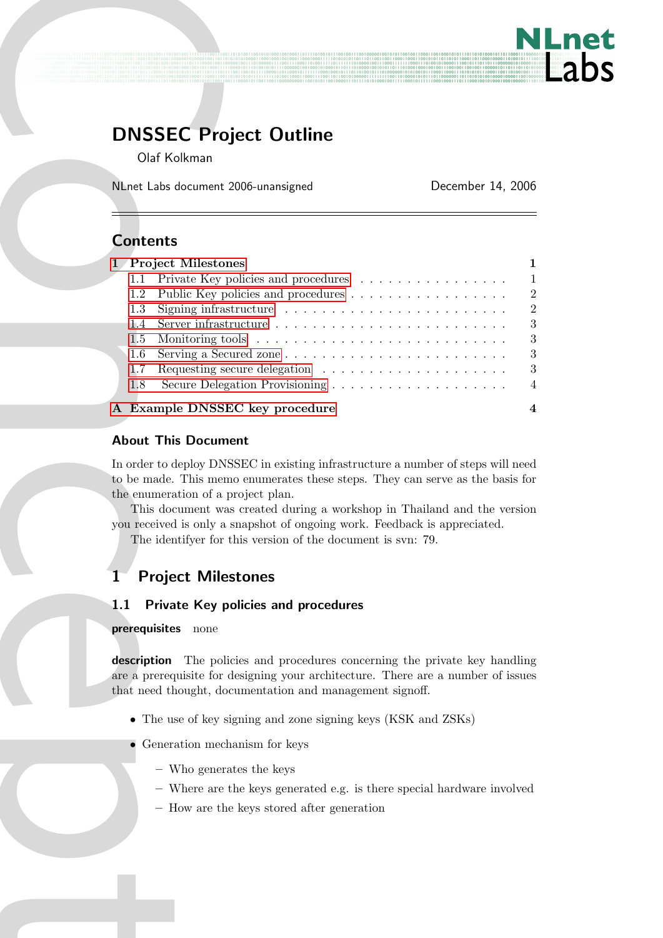

# DNSSEC Project Outline

# **Contents**

| <b>DNSSEC Project Outline</b><br>Olaf Kolkman                                                                                                                                                                                                                                                                                                                                                                                                               |                   |                                                                                         |
|-------------------------------------------------------------------------------------------------------------------------------------------------------------------------------------------------------------------------------------------------------------------------------------------------------------------------------------------------------------------------------------------------------------------------------------------------------------|-------------------|-----------------------------------------------------------------------------------------|
| NLnet Labs document 2006-unansigned                                                                                                                                                                                                                                                                                                                                                                                                                         | December 14, 2006 |                                                                                         |
|                                                                                                                                                                                                                                                                                                                                                                                                                                                             |                   |                                                                                         |
| <b>Contents</b>                                                                                                                                                                                                                                                                                                                                                                                                                                             |                   |                                                                                         |
| 1 Project Milestones<br>Private Key policies and procedures<br>1.1<br>Public Key policies and procedures<br>1.2<br>1.3<br>1.4<br>1.5<br>1.6<br>1.7<br>1.8                                                                                                                                                                                                                                                                                                   |                   | 1<br>$\mathbf 1$<br>$\sqrt{2}$<br>$\sqrt{2}$<br>$\sqrt{3}$<br>$\sqrt{3}$<br>3<br>3<br>4 |
| A Example DNSSEC key procedure                                                                                                                                                                                                                                                                                                                                                                                                                              |                   | 4                                                                                       |
| <b>About This Document</b>                                                                                                                                                                                                                                                                                                                                                                                                                                  |                   |                                                                                         |
| In order to deploy DNSSEC in existing infrastructure a number of steps will need<br>to be made. This memo enumerates these steps. They can serve as the basis for<br>the enumeration of a project plan.<br>This document was created during a workshop in Thailand and the version<br>you received is only a snapshot of ongoing work. Feedback is appreciated.<br>The identifyer for this version of the document is svn: 79.<br><b>Project Milestones</b> |                   |                                                                                         |
| 1.1<br><b>Private Key policies and procedures</b>                                                                                                                                                                                                                                                                                                                                                                                                           |                   |                                                                                         |
| prerequisites<br>none                                                                                                                                                                                                                                                                                                                                                                                                                                       |                   |                                                                                         |
| description<br>The policies and procedures concerning the private key handling<br>are a prerequisite for designing your architecture. There are a number of issues<br>that need thought, documentation and management signoff.                                                                                                                                                                                                                              |                   |                                                                                         |
| • The use of key signing and zone signing keys (KSK and ZSKs)                                                                                                                                                                                                                                                                                                                                                                                               |                   |                                                                                         |
| Generation mechanism for keys                                                                                                                                                                                                                                                                                                                                                                                                                               |                   |                                                                                         |
| - Who generates the keys<br>$-$ Where are the keys generated e.g. is there special hardware involved<br>- How are the keys stored after generation                                                                                                                                                                                                                                                                                                          |                   |                                                                                         |
|                                                                                                                                                                                                                                                                                                                                                                                                                                                             |                   |                                                                                         |
|                                                                                                                                                                                                                                                                                                                                                                                                                                                             |                   |                                                                                         |
|                                                                                                                                                                                                                                                                                                                                                                                                                                                             |                   |                                                                                         |
|                                                                                                                                                                                                                                                                                                                                                                                                                                                             |                   |                                                                                         |

## About This Document

# <span id="page-0-0"></span>1 Project Milestones

## <span id="page-0-1"></span>1.1 Private Key policies and procedures

### prerequisites none

- The use of key signing and zone signing keys (KSK and ZSKs)
- Generation mechanism for keys
	- Who generates the keys
	- Where are the keys generated e.g. is there special hardware involved
	- How are the keys stored after generation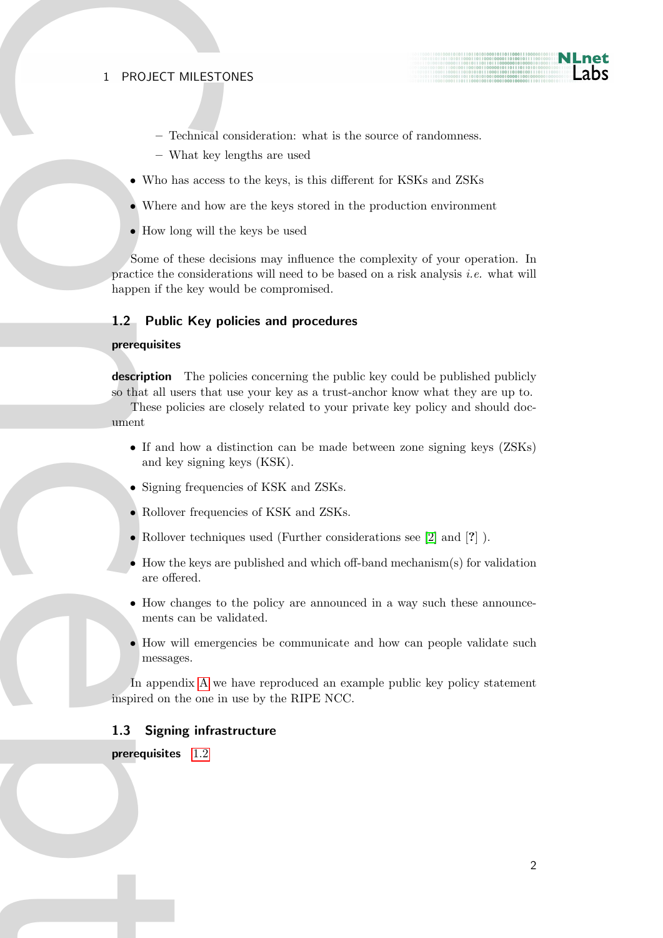#### 1 PROJECT MILESTONES

- Technical consideration: what is the source of randomness.
- What key lengths are used
- Who has access to the keys, is this different for KSKs and ZSKs
- Where and how are the keys stored in the production environment
- How long will the keys be used

1 PROJECT MILEST<br>
- Technical -<br>
- What key<br>
• Who has access<br>
• Where and how<br>
• How long will t<br>
Some of these dee<br>
happen if the key wo<br> **1.2 Public Key p**<br> **prerequisites**<br> **description** The pole of the transfer of the Some of these decisions may influence the complexity of your operation. In practice the considerations will need to be based on a risk analysis i.e. what will happen if the key would be compromised.

#### <span id="page-1-0"></span>1.2 Public Key policies and procedures

#### <span id="page-1-2"></span>prerequisites

description The policies concerning the public key could be published publicly so that all users that use your key as a trust-anchor know what they are up to.

These policies are closely related to your private key policy and should document

- If and how a distinction can be made between zone signing keys (ZSKs) and key signing keys (KSK).
- Signing frequencies of KSK and ZSKs.
- Rollover frequencies of KSK and ZSKs.
- Rollover techniques used (Further considerations see [\[2\]](#page-3-2) and [?] ).
- How the keys are published and which off-band mechanism(s) for validation are offered.
- How changes to the policy are announced in a way such these announcements can be validated.
- How will emergencies be communicate and how can people validate such messages.

In appendix A we have reproduced an example public key policy statement inspired on the one in use by the RIPE NCC.

#### <span id="page-1-1"></span>1.3 Signing infrastructure

prerequisites 1.2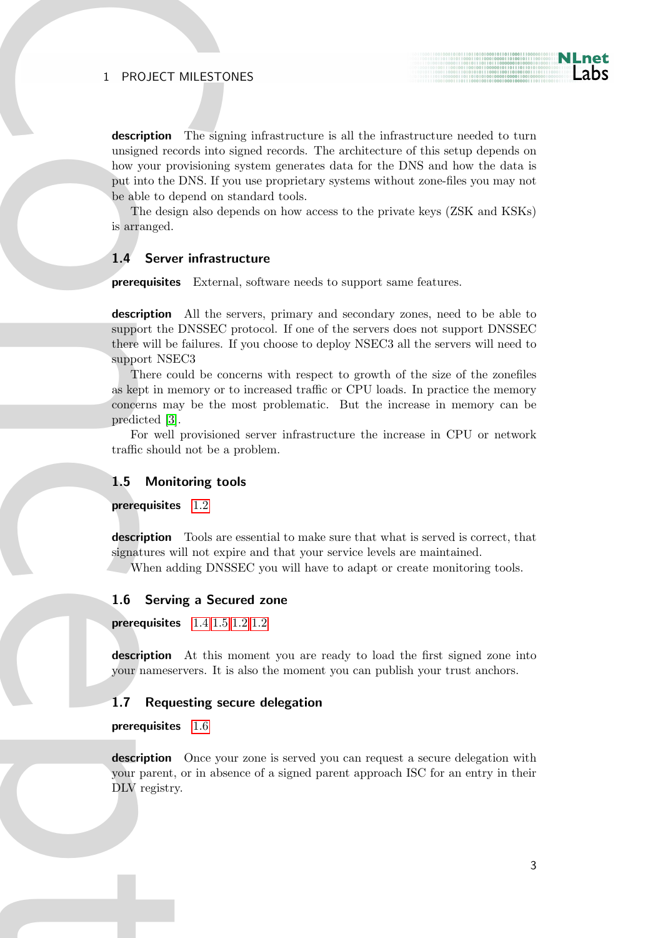## 1 PROJECT MILESTONES

1 PROJECT MILEST<br>
description The sign and records interesting inversion interesting and the DNS. If<br>
the able to depend on<br>
The design also d<br>
is arranged.<br>
1.4 Server infrast<br>
prerequisites Externed interesting the prese description The signing infrastructure is all the infrastructure needed to turn unsigned records into signed records. The architecture of this setup depends on how your provisioning system generates data for the DNS and how the data is put into the DNS. If you use proprietary systems without zone-files you may not be able to depend on standard tools.

The design also depends on how access to the private keys (ZSK and KSKs) is arranged.

## <span id="page-2-0"></span>1.4 Server infrastructure

prerequisites External, software needs to support same features.

description All the servers, primary and secondary zones, need to be able to support the DNSSEC protocol. If one of the servers does not support DNSSEC there will be failures. If you choose to deploy NSEC3 all the servers will need to support NSEC3

There could be concerns with respect to growth of the size of the zonefiles as kept in memory or to increased traffic or CPU loads. In practice the memory concerns may be the most problematic. But the increase in memory can be predicted [3].

For well provisioned server infrastructure the increase in CPU or network traffic should not be a problem.

#### <span id="page-2-1"></span>1.5 Monitoring tools

prerequisites 1.2

description Tools are essential to make sure that what is served is correct, that signatures will not expire and that your service levels are maintained.

When adding DNSSEC you will have to adapt or create monitoring tools.

#### <span id="page-2-2"></span>1.6 Serving a Secured zone

prerequisites 1.4 [1.5](#page-2-1) [1.2](#page-1-2) [1.2](#page-1-0)

description At this moment you are ready to load the first signed zone into your nameservers. It is also the moment you can publish your trust anchors.

#### <span id="page-2-3"></span>1.7 Requesting secure delegation

prerequisites 1.6

description Once your zone is served you can request a secure delegation with your parent, or in absence of a signed parent approach ISC for an entry in their DLV registry.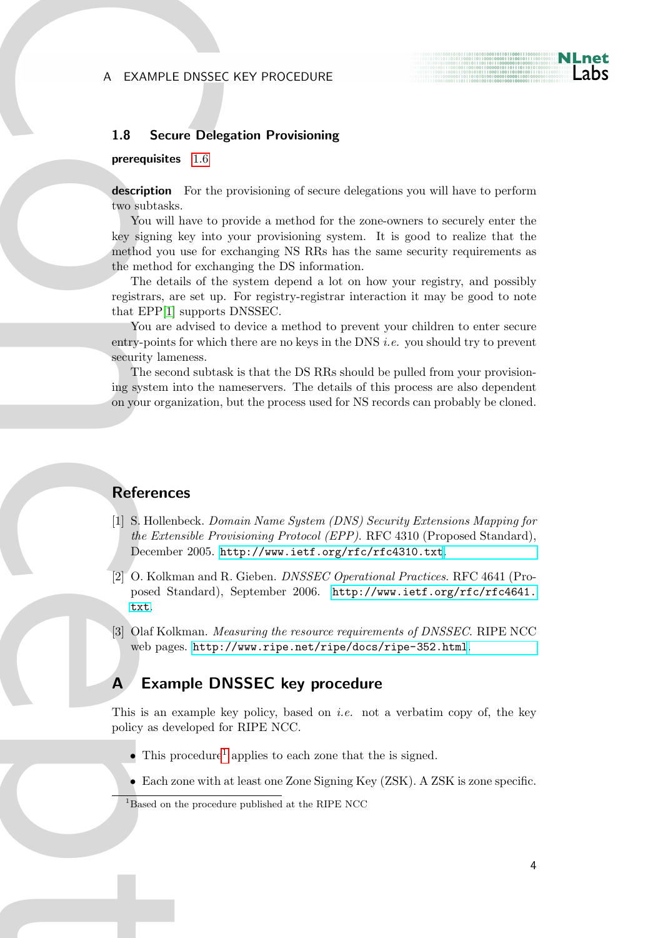### EXAMPLE DNSSEC KEY PROCEDURE

#### <span id="page-3-0"></span>1.8 Secure Delegation Provisioning

#### prerequisites 1.6

description For the provisioning of secure delegations you will have to perform two subtasks.

A EXAMPLE DNSSE<br>
1.8 S[e](http://www.ietf.org/rfc/rfc4641.txt)cure Dele<br>
perequisites 1.6<br>
description For the<br>
two subtasks.<br>
You will have to present the method you use for the<br>
repistrance, are est up<br>
The details of the<br>
repistrances are the method for excl You will have to provide a method for the zone-owners to securely enter the key signing key into your provisioning system. It is good to realize that the method you use for exchanging NS RRs has the same security requirements as the method for exchanging the DS information.

The details of the system depend a lot on how your registry, and possibly registrars, are set up. For registry-registrar interaction it may be good to note that EPP[1] supports DNSSEC.

You are advised to device a method to prevent your children to enter secure entry-points for which there are no keys in the DNS i.e. you should try to prevent security lameness.

The second subtask is that the DS RRs should be pulled from your provisioning system into the nameservers. The details of this process are also dependent on your organization, but the process used for NS records can probably be cloned.

## **References**

- <span id="page-3-4"></span>[1] S. Hollenbeck. Domain Name System (DNS) Security Extensions Mapping for the Extensible Provisioning Protocol (EPP). RFC 4310 (Proposed Standard), December 2005. <http://www.ietf.org/rfc/rfc4310.txt>.
- <span id="page-3-2"></span>[2] O. Kolkman and R. Gieben. DNSSEC Operational Practices. RFC 4641 (Proposed Standard), September 2006. [http://www.ietf.org/rfc/rfc4641.](http://www.ietf.org/rfc/rfc4641.txt) txt.
- <span id="page-3-3"></span>[3] Olaf Kolkman. Measuring the resource requirements of DNSSEC. RIPE NCC web pages. <http://www.ripe.net/ripe/docs/ripe-352.html>.

# <span id="page-3-1"></span>A Example DNSSEC key procedure

This is an example key policy, based on *i.e.* not a verbatim copy of, the key policy as developed for RIPE NCC.

- This procedure<sup>[1](#page-3-5)</sup> applies to each zone that the is signed.
- Each zone with at least one Zone Signing Key (ZSK). A ZSK is zone specific.

<span id="page-3-5"></span><sup>&</sup>lt;sup>1</sup>Based on the procedure published at the RIPE NCC